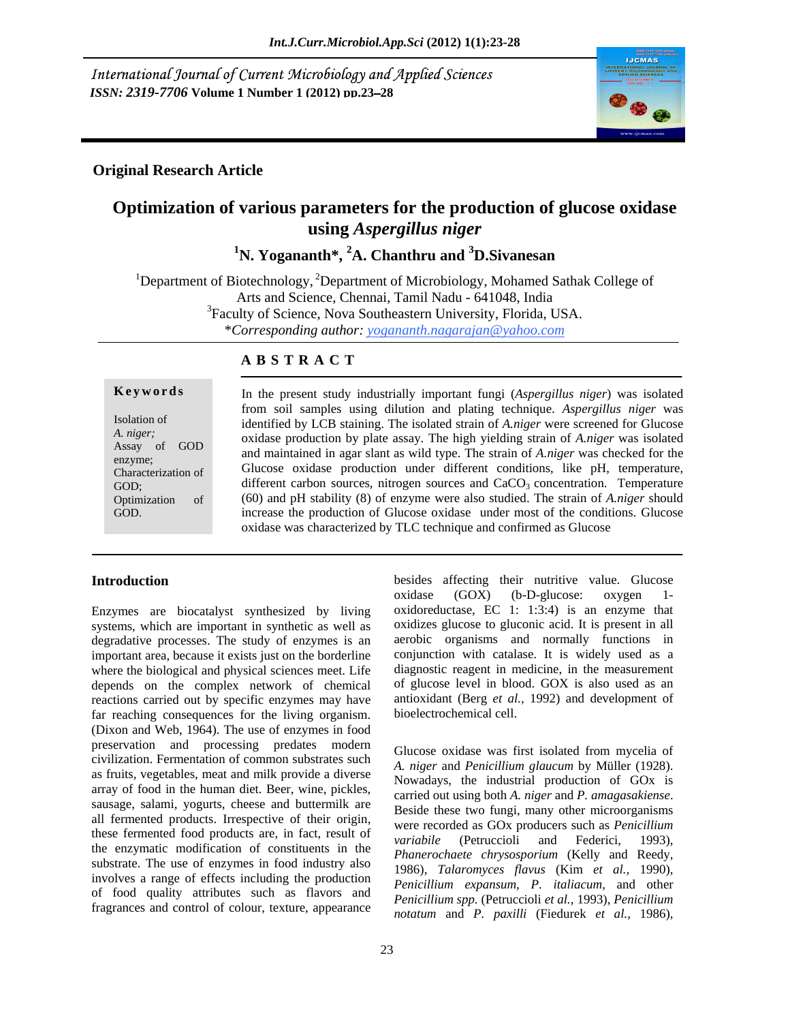International Journal of Current Microbiology and Applied Sciences *ISSN: 2319-7706* **Volume 1 Number 1 (2012) pp.23 28**



## **Original Research Article**

## **Optimization of various parameters for the production of glucose oxidase using** *Aspergillus niger*

<sup>1</sup>N. Yogananth<sup>\*</sup>, <sup>2</sup>A. Chanthru and <sup>3</sup>D. Sivanesan

<sup>1</sup>Department of Biotechnology,  ${}^{2}$ Department of Microbiology, Mohamed Sathak College of Arts and Science, Chennai, Tamil Nadu - 641048, India <sup>3</sup>Faculty of Science, Nova Southeastern University, Florida, USA. \**Corresponding author: yogananth.nagarajan@yahoo.com*

### **A B S T R A C T**

**Keywords** In the present study industrially important fungi (Aspergillus niger) was isolated Isolation of identified by LCB staining. The isolated strain of *A.niger* were screened for Glucose *A. niger;* oxidase production by plate assay. The high yielding strain of *A.niger* was isolated Assay of GOD and maintained in agar slant as wild type. The strain of *A.niger* was checked for the enzyme; and maintained in agai stant as who type: The strain of A.*ntge* was enceived for the Characterization of Glucose oxidase production under different conditions, like pH, temperature, GOD; different carbon sources, nitrogen sources and CaCO<sub>3</sub> concentration. Temperature Optimization of (60) and pH stability (8) of enzyme were also studied. The strain of *A.niger*should **Example 19 In the present study industrially important fungi (***Aspergillus niger***) was isolated<br>
Isolation of<br>
Isolation of<br>** *A. niger***,<br>** *A. niger***,<br>** *A. niger***,<br>
<b>GOD**<br> **Example 10** and parally important of *A. niger* w from soil samples using dilution and plating technique. *Aspergillus niger* was increase the production of Glucose oxidase under most of the conditions. Glucose oxidase was characterized by TLC technique and confirmed as Glucose

Enzymes are biocatalyst synthesized by living degradative processes. The study of enzymes is an important area, because it exists just on the borderline where the biological and physical sciences meet. Life depends on the complex network of chemical reactions carried out by specific enzymes may have far reaching consequences for the living organism. (Dixon and Web, 1964). The use of enzymes in food preservation and processing predates modern civilization. Fermentation of common substrates such as fruits, vegetables, meat and milk provide a diverse array of food in the human diet. Beer, wine, pickles, carried out using both A. niger and P. amagasakiense. sausage, salami, yogurts, cheese and buttermilk are<br>Beside these two fungi, many other microorganisms all fermented products. Irrespective of their origin, these fermented food products are, in fact, result of *variabile* (Petruccioli and Federici, 1993), the enzymatic modification of constituents in the substrate. The use of enzymes in food industry also involves a range of effects including the production of food quality attributes such as flavors and fragrances and control of colour, texture, appearance

**Introduction besides** affecting their nutritive value. Glucose systems, which are important in synthetic as well as oxidizes glucose to gluconic acid. It is present in all oxidase (GOX) (b-D-glucose: oxygen 1 oxidoreductase, EC 1: 1:3:4) is an enzyme that aerobic organisms and normally functions in conjunction with catalase. It is widely used as a diagnostic reagent in medicine, in the measurement of glucose level in blood. GOX is also used as an antioxidant (Berg *et al.,* 1992) and development of bioelectrochemical cell.

> Glucose oxidase was first isolated from mycelia of *A. niger* and *Penicillium glaucum* by Müller (1928). Nowadays, the industrial production of GOx is carried out using both *A. niger* and *P. amagasakiense*. Beside these two fungi, many other microorganisms were recorded as GOx producers such as *Penicillium variabile* (Petruccioli and Federici, 1993), *Phanerochaete chrysosporium* (Kelly and Reedy, 1986), *Talaromyces flavus* (Kim *et al.,* 1990), *Penicillium expansum, P. italiacum,* and other *Penicillium spp.* (Petruccioli *et al.,* 1993), *Penicillium notatum* and *P. paxilli* (Fiedurek *et al.,* 1986),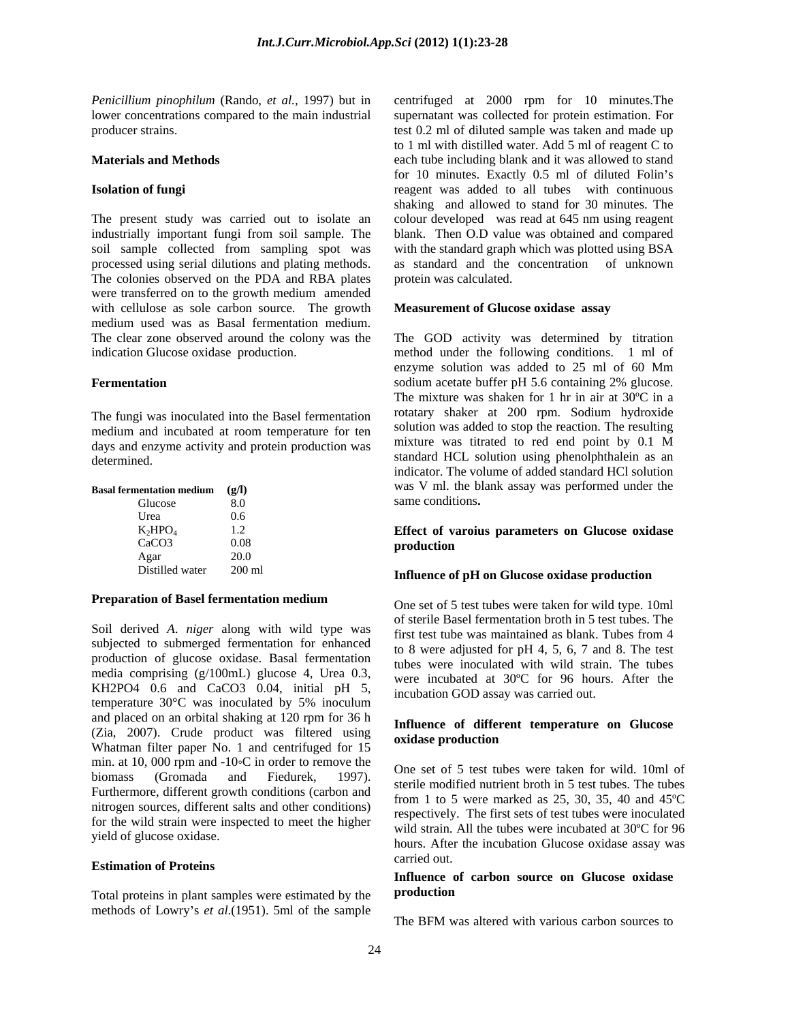*Penicillium pinophilum* (Rando, *et al.,* 1997) but in centrifuged at 2000 rpm for 10 minutes.The

The present study was carried out to isolate an colour developed was read at 645 nm using reagent industrially important fungi from soil sample. The blank. Then O.D value was obtained and compared soil sample collected from sampling spot was with the standard graph which was plotted using BSA processed using serial dilutions and plating methods. as standard and the concentration of unknown The colonies observed on the PDA and RBA plates were transferred on to the growth medium amended with cellulose as sole carbon source. The growth medium used was as Basal fermentation medium. The clear zone observed around the colony was the The GOD activity was determined by titration indication Glucose oxidase production. method under the following conditions. 1 ml of

The fungi was inoculated into the Basel fermentation medium and incubated at room temperature for ten<br>days and enzyme activity and protein production was<br>mixture was titrated to red end point by 0.1 M days and enzyme activity and protein production was

| <b>Basal fermentation medium</b> |          | was V ml. the blank assay was performed under the |
|----------------------------------|----------|---------------------------------------------------|
| Glucose                          |          | same conditions.                                  |
| Urea                             |          |                                                   |
| $K_2HPO_4$                       |          | Effect of varoius parameters on Glucose oxidase   |
| CaCO <sub>3</sub>                | 0.08     | production                                        |
| Agar                             | 20.0     |                                                   |
| Distilled water                  | $200$ ml | Influence of nH on Clusses ovidese production     |

### **Preparation of Basel fermentation medium**

Soil derived *A. niger* along with wild type was<br>first test tube was maintained as blank. Tubes from 4 subjected to submerged fermentation for enhanced production of glucose oxidase. Basal fermentation media comprising (g/100mL) glucose 4, Urea 0.3, KH2PO4 0.6 and CaCO3 0.04, initial pH 5, temperature 30°C was inoculated by 5% inoculum and placed on an orbital shaking at 120 rpm for 36 h (Zia, 2007). Crude product was filtered using Whatman filter paper No. 1 and centrifuged for 15 min. at 10, 000 rpm and  $-10\degree$ C in order to remove the Furthermore, different growth conditions (carbon and nitrogen sources, different salts and other conditions) for the wild strain were inspected to meet the higher

## **Estimation of Proteins Extimation of Proteins**

Total proteins in plant samples were estimated by the **production** methods of Lowry's *et al.*(1951). 5ml of the sample

lower concentrations compared to the main industrial supernatant was collected for protein estimation. For producer strains. test 0.2 ml of diluted sample was taken and made up **Materials and Methods each tube including blank and it was allowed to stand Isolation of fungi** reagent was added to all tubes with continuous to 1 ml with distilled water. Add 5 ml of reagent C to for 10 minutes. Exactly 0.5 ml of diluted Folin's shaking and allowed to stand for 30 minutes. The protein was calculated.

### **Measurement of Glucose oxidase assay**

**Fermentation Solium** acetate buffer pH 5.6 containing 2% glucose. standard HCL solution using phenolphthalein as an standard HCL solution using phenolphthalein as an **Basal fermentation medium (g/l)** was V ml. the blank assay was performed under the Glucose 8.0 Same conditions. enzyme solution was added to 25 ml of 60 Mm The mixture was shaken for 1 hr in air at 30ºC in a rotatary shaker at 200 rpm. Sodium hydroxide solution was added to stop the reaction. The resulting mixture was titrated to red end point by 0.1 M indicator. The volume of added standard HCl solution

### $K_2$ HPO<sub>4</sub> 1.2 **Effect of varous parameters on Glucose oxidase**  $CaCO3$  0.08 **production** same conditions**. Effect of varoius parameters on Glucose oxidase production**

## Distilled water 200 ml **Influence of pH on Glucose oxidase production**

One set of 5 test tubes were taken for wild type. 10ml of sterile Basel fermentation broth in 5 test tubes. The first test tube was maintained as blank. Tubes from 4 to 8 were adjusted for pH 4, 5, 6, 7 and 8. The test tubes were inoculated with wild strain. The tubes were incubated at 30ºC for 96 hours. After the incubation GOD assay was carried out.

### **Influence of different temperature on Glucose oxidase production**

biomass (Gromada and Fiedurek, 1997). Since  $\frac{1997}{2}$  is the set of  $\frac{1997}{2}$  is the tubes were taken for what found the set of  $\frac{1997}{2}$  is the set of  $\frac{1997}{2}$  is the set of  $\frac{1997}{2}$  is the set of  $\frac{19$ yield of glucose oxidase.<br>hours. After the incubation Glucose oxidase assay was One set of 5 test tubes were taken for wild. 10ml of from 1 to 5 were marked as 25, 30, 35, 40 and 45ºC respectively. The first sets of test tubes were inoculated wild strain. All the tubes were incubated at 30ºC for 96 carried out.

### **Influence of carbon source on Glucose oxidase production**

The BFM was altered with various carbon sources to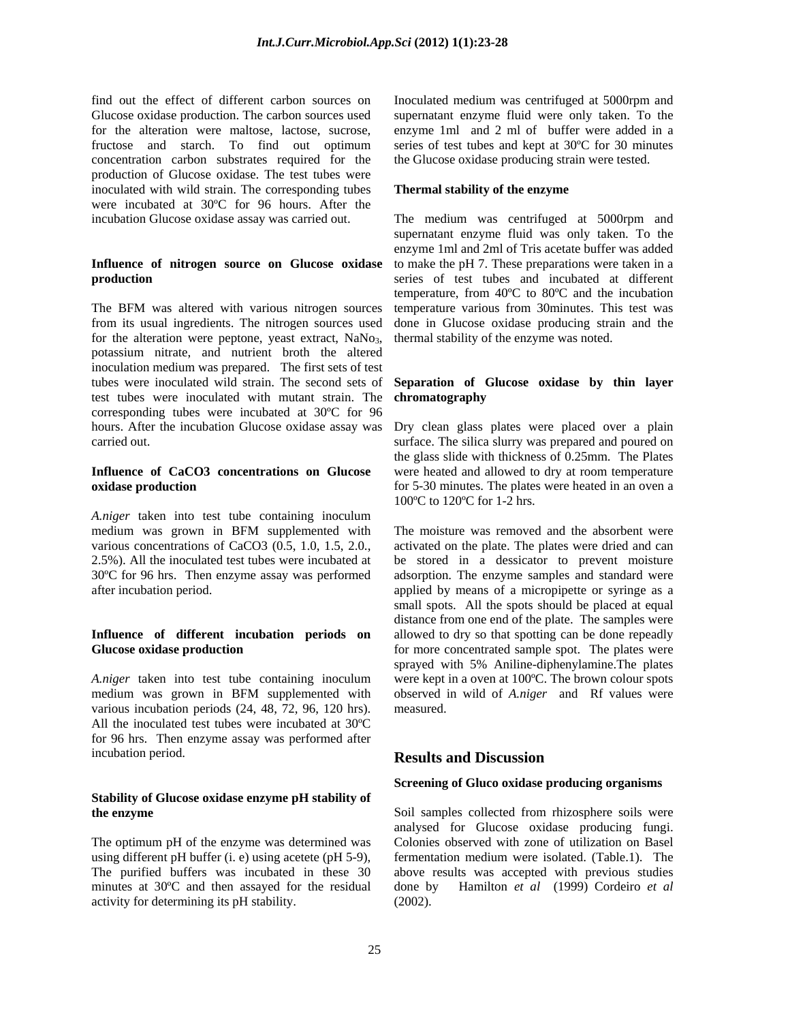find out the effect of different carbon sources on Inoculated medium was centrifuged at 5000rpm and Glucose oxidase production. The carbon sources used supernatant enzyme fluid were only taken. To the for the alteration were maltose, lactose, sucrose, enzyme 1ml and 2 ml of buffer were added in a fructose and starch. To find out optimum series of test tubes and kept at 30ºC for 30 minutes concentration carbon substrates required for the the Glucose oxidase producing strain were tested. production of Glucose oxidase. The test tubes were inoculated with wild strain. The corresponding tubes were incubated at 30ºC for 96 hours. After the

# **Influence of nitrogen source on Glucose oxidase**

The BFM was altered with various nitrogen sources from its usual ingredients. The nitrogen sources used for the alteration were peptone, yeast extract, NaNo<sub>3</sub>, thermal stability of the enzyme was noted.<br>potassium nitrate, and nutrient broth the altered inoculation medium was prepared. The first sets of test tubes were inoculated wild strain. The second sets of tubes were inoculated wild strain. The second sets of **Separation of Glucose oxidase by thin layer** test tubes were inoculated with mutant strain. The **chromatography** corresponding tubes were incubated at 30ºC for 96 hours. After the incubation Glucose oxidase assay was

# **Influence of CaCO3 concentrations on Glucose**  were heated and allowed to dry at room temperature

*A.niger* taken into test tube containing inoculum medium was grown in BFM supplemented with The moisture was removed and the absorbent were various concentrations of CaCO3 (0.5, 1.0, 1.5, 2.0., activated on the plate. The plates were dried and can 2.5%). All the inoculated test tubes were incubated at be stored in a dessicator to prevent moisture 30ºC for 96 hrs. Then enzyme assay was performed

*A.niger* taken into test tube containing inoculum medium was grown in BFM supplemented with various incubation periods (24, 48, 72, 96, 120 hrs). All the inoculated test tubes were incubated at 30ºC for 96 hrs. Then enzyme assay was performed after incubation period. **Results and Discussion** 

# **Stability of Glucose oxidase enzyme pH stability of**

The optimum pH of the enzyme was determined was minutes at 30°C and then assayed for the residual done by activity for determining its pH stability.

### **Thermal stability of the enzyme**

incubation Glucose oxidase assay was carried out. The medium was centrifuged at 5000rpm and **production**  series of test tubes and incubated at different supernatant enzyme fluid was only taken. To the enzyme 1ml and 2ml of Tris acetate buffer was added to make the pH 7. These preparations were taken in a temperature, from 40ºC to 80ºC and the incubation temperature various from 30minutes. This test was done in Glucose oxidase producing strain and the thermal stability of the enzyme was noted.

# **chromatography**

carried out. surface. The silica slurry was prepared and poured on **oxidase production because the plates** of 5-30 minutes. The plates were heated in an oven a Dry clean glass plates were placed over a plain the glass slide with thickness of 0.25mm. The Plates 100ºC to 120ºC for 1-2 hrs.

after incubation period. applied by means of a micropipette or syringe as a **Influence of different incubation periods on** allowed to dry so that spotting can be done repeadly **Glucose oxidase production** *production production production production production production production production production production production production production* medium was grown in BFM supplemented with observed in wild of *A.niger* and Rf values were The moisture was removed and the absorbent were adsorption. The enzyme samples and standard were small spots. All the spots should be placed at equal distance from one end of the plate. The samples were sprayed with 5% Aniline-diphenylamine.The plates were kept in a oven at 100ºC. The brown colour spots measured.

## **Results and Discussion**

## **Screening of Gluco oxidase producing organisms**

**the enzyme** Soil samples collected from rhizosphere soils were using different pH buffer (i. e) using acetete (pH 5-9), fermentation medium were isolated. (Table.1). The The purified buffers was incubated in these 30 above results was accepted with previous studies analysed for Glucose oxidase producing fungi. Colonies observed with zone of utilization on Basel Hamilton *et al* (1999) Cordeiro *et al* (2002).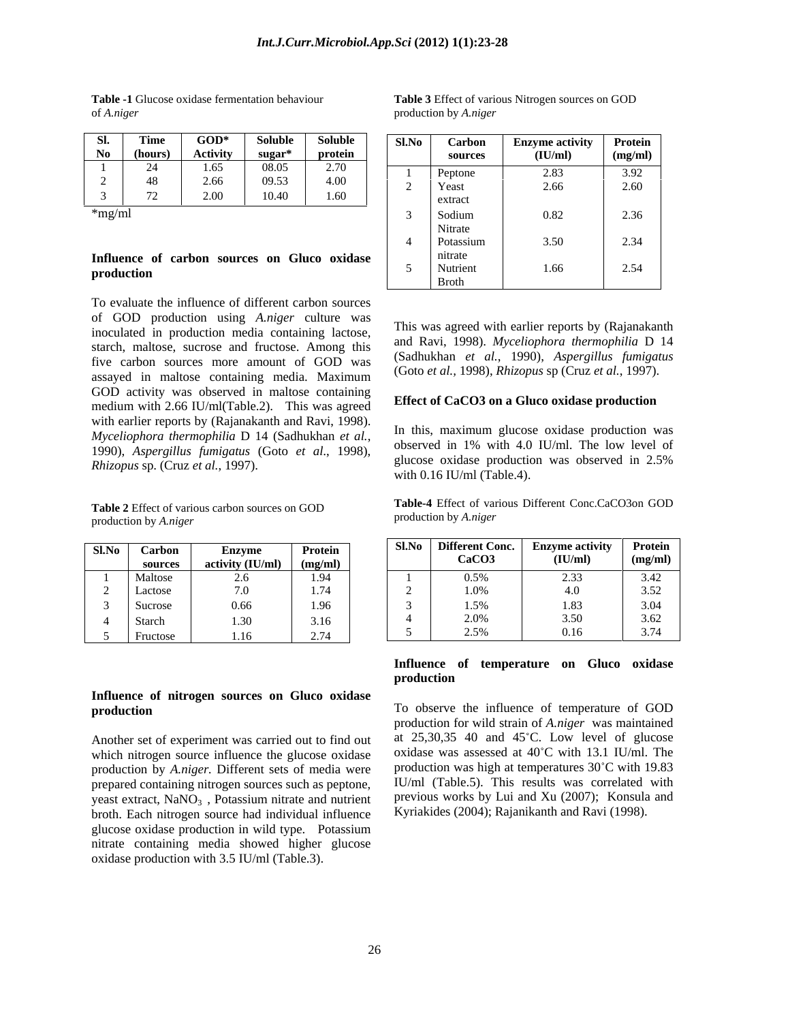| SI.<br>$\text{GOD}^*$<br><b>Soluble</b><br><b>Soluble</b><br><b>Time</b><br>Sl.No<br>Protein<br><b>Enzyme activity</b><br>Carbon<br>No<br><b>Activity</b><br>$sugar*$<br>protein<br>(hours)<br>(IU/ml)<br>(mg/ml)<br>sources<br>2.70<br>08.05<br>24<br>1.65<br>3.92<br>2.83<br>Peptone<br>$\sim$<br>4.00<br>48<br>09.53<br>2.66<br>2.60<br>∠<br>Yeast<br>2.66<br>∼<br>72<br>$\sim$<br>2.00<br>10.40<br>1.60<br>extract | of A.niger |  |  | production by A.niger |  |
|------------------------------------------------------------------------------------------------------------------------------------------------------------------------------------------------------------------------------------------------------------------------------------------------------------------------------------------------------------------------------------------------------------------------|------------|--|--|-----------------------|--|
|                                                                                                                                                                                                                                                                                                                                                                                                                        |            |  |  |                       |  |
|                                                                                                                                                                                                                                                                                                                                                                                                                        |            |  |  |                       |  |

# **Influence of carbon sources on Gluco oxidase**

To evaluate the influence of different carbon sources of GOD production using *A.niger* culture was inoculated in production media containing lactose, starch, maltose, sucrose and fructose. Among this five carbon sources more amount of GOD was five carbon sources more amount of GOD was  $(3a)$  ( $\frac{1}{2}$ ),  $\frac{1}{2}$ ),  $\frac{1}{2}$   $\frac{1}{2}$   $\frac{1}{2}$   $\frac{1}{2}$ assayed in maltose containing media. Maximum GOD activity was observed in maltose containing medium with 2.66 IU/ml(Table.2). This was agreed with earlier reports by (Rajanakanth and Ravi, 1998). *Myceliophora thermophilia* D 14 (Sadhukhan *et al.*, <sup>111</sup> uns, maximum giucose oxidase production was observed in 1% with 4.0 IU/ml. The low level of 1990), *Aspergillus fumigatus* (Goto *et al.*, 1998), *Rhizopus* sp. (Cruz *et al.*, 1997).<br>*Rhizopus* sp. (Cruz *et al.*, 1997).

production by *A.niger* 

| Sl.No | Carbon   | <b>Enzyme</b>    | <b>Protein</b> |
|-------|----------|------------------|----------------|
|       | sources  | activity (IU/ml) | (mg/ml)        |
|       | Maltose  | 2.6              | 1.94           |
| 2     | Lactose  | 7.0              | 1.74           |
| 3     | Sucrose  | 0.66             | 1.96           |
| 4     | Starch   | 1.30             | 3.16           |
|       | Fructose | 1.16             | 2.74           |

# **Influence of nitrogen sources on Gluco oxidase**

Another set of experiment was carried out to find out which nitrogen source influence the glucose oxidase production by *A.niger.* Different sets of media were prepared containing nitrogen sources such as peptone, yeast extract,  $NaNO<sub>3</sub>$ , Potassium nitrate and nutrient broth. Each nitrogen source had individual influence glucose oxidase production in wild type. Potassium nitrate containing media showed higher glucose oxidase production with 3.5 IU/ml (Table.3).

**Table -1** Glucose oxidase fermentation behaviour **Table 3** Effect of various Nitrogen sources on GOD production by *A.niger* 

| Sl.    | Time       | $GOD^*$         | Solubl | <b>Soluble</b>                               | Sl.No | Carbon       | <b>Enzyme activity</b> | Protein |
|--------|------------|-----------------|--------|----------------------------------------------|-------|--------------|------------------------|---------|
| No     | (hours)    | <b>Activity</b> | sugar* | protein                                      |       | sources      | (IU/ml)                | (mg/ml) |
|        | -24        | 1.65            | 08.05  | 270<br>2.10                                  |       | Peptone      | 2.83                   | 3.92    |
|        | 48         | 2.66            | 09.53  | 4.00                                         |       | Yeast        | 2.66                   | 2.60    |
|        | 72         | 2.00            | 10.40  | 1.60                                         |       | extract      |                        |         |
| *mg/ml |            |                 |        |                                              |       | Sodium       | 0.82                   | 2.36    |
|        |            |                 |        |                                              |       | Nitrate      |                        |         |
|        |            |                 |        |                                              |       | Potassium    | 3.50                   | 2.34    |
|        |            |                 |        | Influence of carbon sources on Gluco oxidase |       | nitrate      |                        |         |
|        | production |                 |        |                                              |       | Nutrient     | 1.66                   | 2.54    |
|        |            |                 |        |                                              |       | <b>Broth</b> |                        |         |

This was agreed with earlier reports by (Rajanakanth and Ravi, 1998). *Myceliophora thermophilia* D 14 (Sadhukhan *et al.*, 1990), *Aspergillus fumigatus* (Goto *et al.,* 1998), *Rhizopus* sp (Cruz *et al.*, 1997).

### **Effect of CaCO3 on a Gluco oxidase production**

In this, maximum glucose oxidase production was observed in 1% with 4.0 IU/ml. The low level of glucose oxidase production was observed in 2.5% with 0.16 IU/ml (Table.4).

**Table 2** Effect of various carbon sources on GOD<br> **Table-4** Effect of various Different Conc.CaCO3on GOD<br>
production by A niger **Table-4** Effect of various Different Conc.CaCO3on GOD production by *A.niger* 

| $J. No$ Carbon | Enzvme                           | <b>Protein</b> | -SLNo-I | ifferent Conc.          | - Enzvme     | ∣ Protein  |
|----------------|----------------------------------|----------------|---------|-------------------------|--------------|------------|
| source         | (IU/mD)                          |                |         | CaCO3                   | (IU/ml)      | (mg)       |
| Maltose        | ۷.U                              | $1.7^{\circ}$  |         |                         |              | 3.42       |
| Lactose        | 70                               | .              |         | $\overline{1}$<br>1.0/0 |              | 3.52       |
| Sucrose        |                                  | .<br>1.96      |         |                         |              | $2 \Omega$ |
| Starch         | .                                | 5.16           |         | 200 <sup>2</sup>        | 3.50         | 3.62       |
| Fructose       | $\sim$ $\sim$ $\sim$<br>$\ldots$ | 274<br>2.14    |         | 2.5%                    | 0.16<br>V.IV | 271        |

### **Influence of temperature on Gluco oxidase production**

**production**  To observe the influence of temperature of GOD production for wild strain of *A.niger* was maintained at  $25,30,35$  40 and  $45^{\circ}$ C. Low level of glucose oxidase was assessed at 40°C with 13.1 IU/ml. The production was high at temperatures 30°C with 19.83 IU/ml (Table.5). This results was correlated with previous works by Lui and Xu (2007); Konsula and Kyriakides (2004); Rajanikanth and Ravi (1998).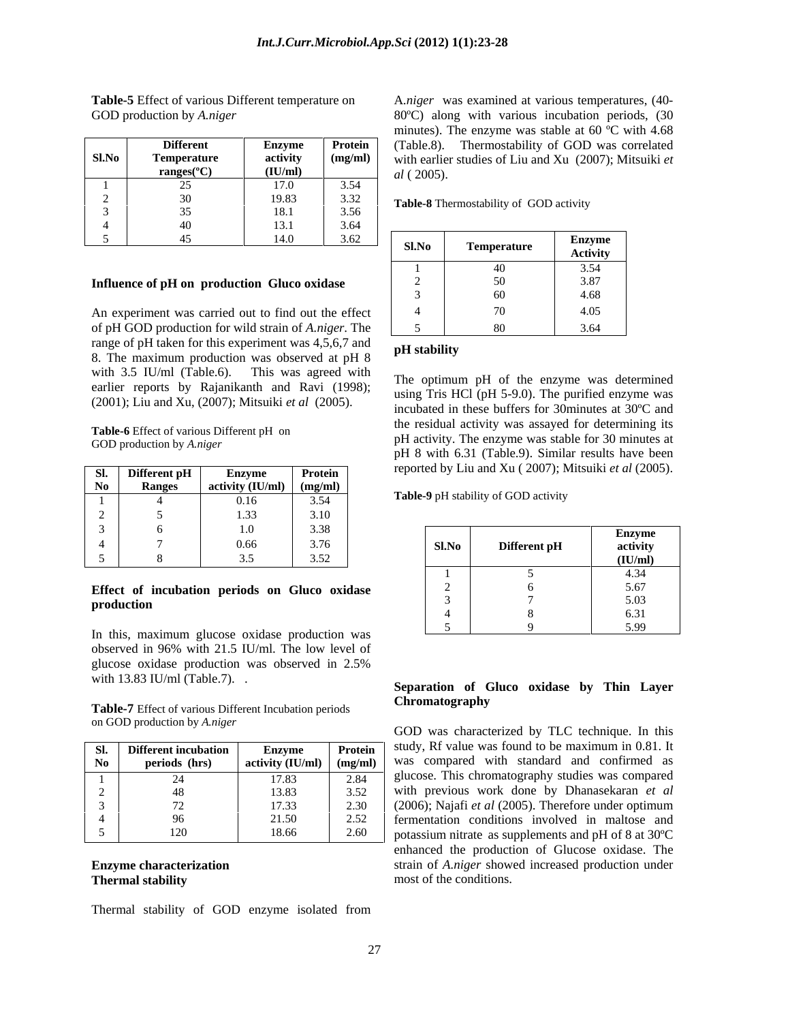|          | <b>Different</b>        | Enzyme           | Protein | Thermostability of GOD was correlated<br>(Table.8).             |
|----------|-------------------------|------------------|---------|-----------------------------------------------------------------|
| $Sl$ .No | <b>Temperature</b>      | activity         | (mg/ml) | with earlier studies of Liu and Xu (2007); Mitsuiki et          |
|          | ranges( ${}^{\circ}$ C) | (IU/ml)          |         | <i>al</i> (2005).                                               |
|          |                         | 7.0              | 3.54    |                                                                 |
|          |                         | 19.83            | 3.32    | Table-8 Thermostability of GOD activity                         |
|          |                         | $\sim$<br>. o. 1 | 3.56    |                                                                 |
|          |                         | $\sim$           | 3.64    |                                                                 |
|          |                         | 14.0             | 3.62    | Enzyme<br>$\mathbf{C}$ $\mathbf{N}$ $\mathbf{A}$<br>Tomporaturo |

### **Influence of pH on production Gluco oxidase**

An experiment was carried out to find out the effect of pH GOD production for wild strain of *A.niger*. The range of pH taken for this experiment was 4,5,6,7 and  $\overrightarrow{pH}$  stability 8. The maximum production was observed at pH 8 with 3.5 IU/ml (Table.6). This was agreed with  $\tau_{\text{the}}$  or  $\tau_{\text{the}}$  and  $\tau_{\text{the}}$  are  $\tau_{\text{the}}$  are  $\tau_{\text{the}}$  are  $\tau_{\text{the}}$  are determined earlier reports by Rajanikanth and Ravi (1998); (2001); Liu and Xu, (2007); Mitsuiki *et al* (2005).

**Table-6** Effect of various Different pH on

| <b>DI.</b> | Different pH  | Enzvme                       | Protein    |       | reported by Liu and Xu (2007); Mitsuiki et al (2005). |          |
|------------|---------------|------------------------------|------------|-------|-------------------------------------------------------|----------|
|            | <b>Ranges</b> | activity $(IU/ml)$ $(mg/ml)$ |            |       |                                                       |          |
|            |               | 0.16                         | 3,54<br>.  |       | Table-9 pH stability of GOD activity                  |          |
|            |               | .33                          | 3.10       |       |                                                       |          |
|            |               |                              | 3.38       |       |                                                       | Enzyme   |
|            |               | 0.66                         | 3.76       | Sl.No | Different pH                                          | activity |
|            |               |                              | 352<br>ے ب |       |                                                       | (IU/ml)  |

## **Effect of incubation periods on Gluco oxidase**

In this, maximum glucose oxidase production was observed in 96% with 21.5 IU/ml. The low level of glucose oxidase production was observed in 2.5% with 13.83 IU/ml (Table.7). .

Table-7 Effect of various Different Incubation periods **Chromatography** on GOD production by *A.niger* 

|          | Different incubation | Enzvmo | Protein | study, Rt value was found to be maximum in 0.81. It                                       |
|----------|----------------------|--------|---------|-------------------------------------------------------------------------------------------|
| $\bf No$ | periods (hrs)        |        |         | $\int$ activity (IU/ml) $\int$ (mg/ml) $\int$ was compared with standard and confirmed as |
|          |                      | 17.83  |         | glucose. This chromatography studies was compared                                         |
|          |                      | 13.83  |         | with previous work done by Dhanasekaran et al                                             |
|          |                      | 17.33  | 2.30    | $(2006)$ ; Najafi <i>et al</i> (2005). Therefore under optimum                            |
|          |                      | 21.50  |         | fermentation conditions involved in maltose and                                           |
|          | ⊥∠∪                  | 18.66  | 2.60    | potassium nitrate as supplements and pH of $8$ at $30^{\circ}$ C                          |

Thermal stability of GOD enzyme isolated from

**Table-5** Effect of various Different temperature on A*.niger* was examined at various temperatures, (40- GOD production by *A.niger* **Example 2000** along with various incubation periods, (30 **Different Enzyme Protein** (Table.8). Thermostability of GOD was correlated  $r$ anges( $\degree$ C)  $\qquad \qquad$   $\qquad \qquad$   $\qquad \qquad$   $\qquad \qquad$   $\qquad \qquad$   $\qquad \qquad$   $\qquad \qquad$   $\qquad \qquad$   $\qquad \qquad$   $\qquad \qquad$   $\qquad \qquad$   $\qquad \qquad$   $\qquad \qquad$   $\qquad \qquad$   $\qquad \qquad$   $\qquad \qquad$   $\qquad \qquad$   $\qquad \qquad$   $\qquad \qquad$   $\qquad \qquad$   $\qquad \qquad$   $\qquad \qquad$   $\qquad \qquad$ **(IU/ml)**  $dl(2005)$ minutes). The enzyme was stable at 60 ºC with 4.68 *al* ( 2005).

| Sl.No | Temperature | $\overline{\phantom{0}}$<br>Enzyme<br><b>Activity</b> |
|-------|-------------|-------------------------------------------------------|
|       |             | 3.54                                                  |
|       | 50.         | 3.87                                                  |
|       | 60          | 4.68                                                  |
|       | 70          | 4.05                                                  |
|       | vv.         | 3.64                                                  |

### **pH stability**

Figure 6 Ence of various Encerement prior by a pH activity. The enzyme was stable for 30 minutes at GOD production by *A.niger*  $\sim$   $\frac{1}{2}$ The optimum pH of the enzyme was determined using Tris HCl (pH 5-9.0). The purified enzyme was incubated in these buffers for 30minutes at 30ºC and the residual activity was assayed for determining its pH 8 with 6.31 (Table.9). Similar results have been

| 1.0                                           |       |              |                                   |
|-----------------------------------------------|-------|--------------|-----------------------------------|
| 0.66<br>$\sim$ $\sim$                         | Sl.No | Different pH | <b>Enzyme</b><br>activity         |
| $\gamma$ $\sim$<br>252<br>ں د                 |       |              | (TT)<br>$\left( \text{H} \right)$ |
|                                               |       |              |                                   |
| Effect of incubation periods on Gluco oxidase |       |              | 5.67<br>3.01                      |
| production                                    |       |              | 502<br>$\cup$ . $\cup$            |
|                                               |       |              | $\epsilon$ 21                     |
| this maximum alucose oxidase production was   |       |              | 500                               |

### **Separation of Gluco oxidase by Thin Layer Chromatography**

**Sl. Different incubation Enzyme Protein** study, Rf value was found to be maximum in 0.81. It  $(2006)$ ; Najafi et al  $(2005)$ . Therefore under optimum **Enzyme characterization** Strain of *A.niger* showed increased production under **Thermal stability Example 2018 The State State State State State State State State State State State State State State State State State State State State State State State State State State State State State State St** GOD was characterized by TLC technique. In this (2006); Najafi *et al* (2005). Therefore under optimum enhanced the production of Glucose oxidase. The most of the conditions.